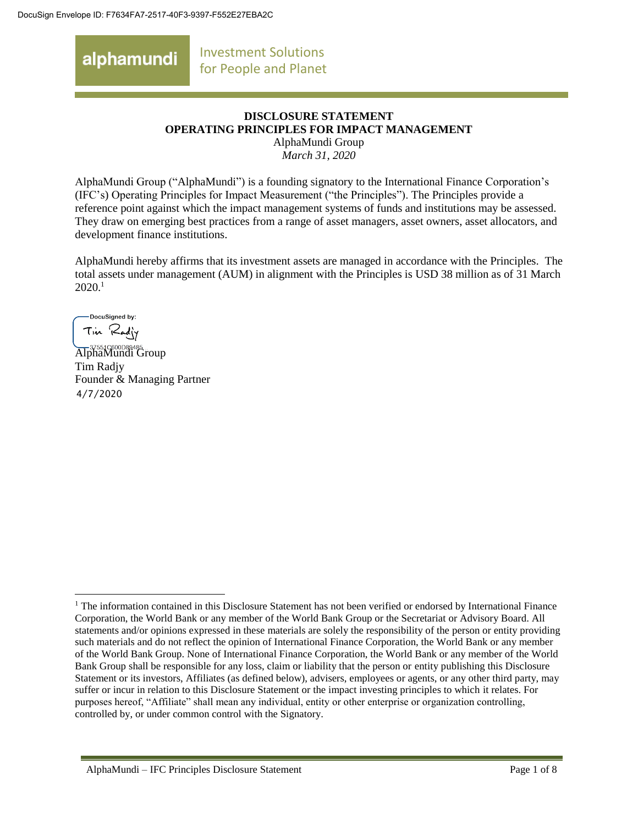Investment Solutions alphamundi for People and Planet

#### **DISCLOSURE STATEMENT OPERATING PRINCIPLES FOR IMPACT MANAGEMENT** AlphaMundi Group

*March 31, 2020*

AlphaMundi Group ("AlphaMundi") is a founding signatory to the International Finance Corporation's (IFC's) Operating Principles for Impact Measurement ("the Principles"). The Principles provide a reference point against which the impact management systems of funds and institutions may be assessed. They draw on emerging best practices from a range of asset managers, asset owners, asset allocators, and development finance institutions.

AlphaMundi hereby affirms that its investment assets are managed in accordance with the Principles. The total assets under management (AUM) in alignment with the Principles is USD 38 million as of 31 March 2020. 1

DocuSigned by: Tin Radly

37551C600D89485...<br>AlphaMundi Group Tim Radjy Founder & Managing Partner 4/7/2020

 $\overline{a}$ <sup>1</sup> The information contained in this Disclosure Statement has not been verified or endorsed by International Finance Corporation, the World Bank or any member of the World Bank Group or the Secretariat or Advisory Board. All statements and/or opinions expressed in these materials are solely the responsibility of the person or entity providing such materials and do not reflect the opinion of International Finance Corporation, the World Bank or any member of the World Bank Group. None of International Finance Corporation, the World Bank or any member of the World Bank Group shall be responsible for any loss, claim or liability that the person or entity publishing this Disclosure Statement or its investors, Affiliates (as defined below), advisers, employees or agents, or any other third party, may suffer or incur in relation to this Disclosure Statement or the impact investing principles to which it relates. For purposes hereof, "Affiliate" shall mean any individual, entity or other enterprise or organization controlling, controlled by, or under common control with the Signatory.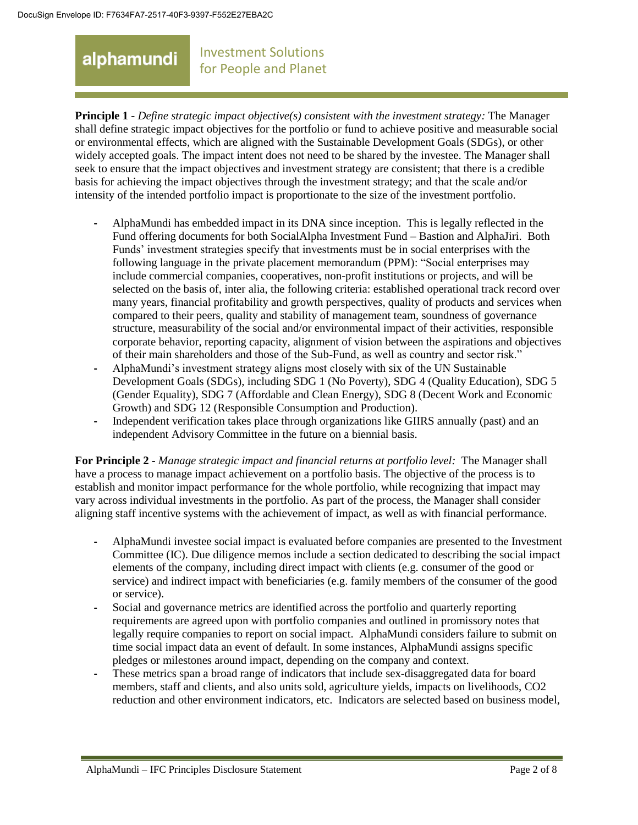#### Investment Solutions for People and Planet

**Principle 1 -** *Define strategic impact objective(s) consistent with the investment strategy:* The Manager shall define strategic impact objectives for the portfolio or fund to achieve positive and measurable social or environmental effects, which are aligned with the Sustainable Development Goals (SDGs), or other widely accepted goals. The impact intent does not need to be shared by the investee. The Manager shall seek to ensure that the impact objectives and investment strategy are consistent; that there is a credible basis for achieving the impact objectives through the investment strategy; and that the scale and/or intensity of the intended portfolio impact is proportionate to the size of the investment portfolio.

- **-** AlphaMundi has embedded impact in its DNA since inception. This is legally reflected in the Fund offering documents for both SocialAlpha Investment Fund – Bastion and AlphaJiri. Both Funds' investment strategies specify that investments must be in social enterprises with the following language in the private placement memorandum (PPM): "Social enterprises may include commercial companies, cooperatives, non-profit institutions or projects, and will be selected on the basis of, inter alia, the following criteria: established operational track record over many years, financial profitability and growth perspectives, quality of products and services when compared to their peers, quality and stability of management team, soundness of governance structure, measurability of the social and/or environmental impact of their activities, responsible corporate behavior, reporting capacity, alignment of vision between the aspirations and objectives of their main shareholders and those of the Sub-Fund, as well as country and sector risk."
- **-** AlphaMundi's investment strategy aligns most closely with six of the UN Sustainable Development Goals (SDGs), including SDG 1 (No Poverty), SDG 4 (Quality Education), SDG 5 (Gender Equality), SDG 7 (Affordable and Clean Energy), SDG 8 (Decent Work and Economic Growth) and SDG 12 (Responsible Consumption and Production).
- **-** Independent verification takes place through organizations like GIIRS annually (past) and an independent Advisory Committee in the future on a biennial basis.

**For Principle 2 -** *Manage strategic impact and financial returns at portfolio level:* The Manager shall have a process to manage impact achievement on a portfolio basis. The objective of the process is to establish and monitor impact performance for the whole portfolio, while recognizing that impact may vary across individual investments in the portfolio. As part of the process, the Manager shall consider aligning staff incentive systems with the achievement of impact, as well as with financial performance.

- **-** AlphaMundi investee social impact is evaluated before companies are presented to the Investment Committee (IC). Due diligence memos include a section dedicated to describing the social impact elements of the company, including direct impact with clients (e.g. consumer of the good or service) and indirect impact with beneficiaries (e.g. family members of the consumer of the good or service).
- **-** Social and governance metrics are identified across the portfolio and quarterly reporting requirements are agreed upon with portfolio companies and outlined in promissory notes that legally require companies to report on social impact. AlphaMundi considers failure to submit on time social impact data an event of default. In some instances, AlphaMundi assigns specific pledges or milestones around impact, depending on the company and context.
- **-** These metrics span a broad range of indicators that include sex-disaggregated data for board members, staff and clients, and also units sold, agriculture yields, impacts on livelihoods, CO2 reduction and other environment indicators, etc. Indicators are selected based on business model,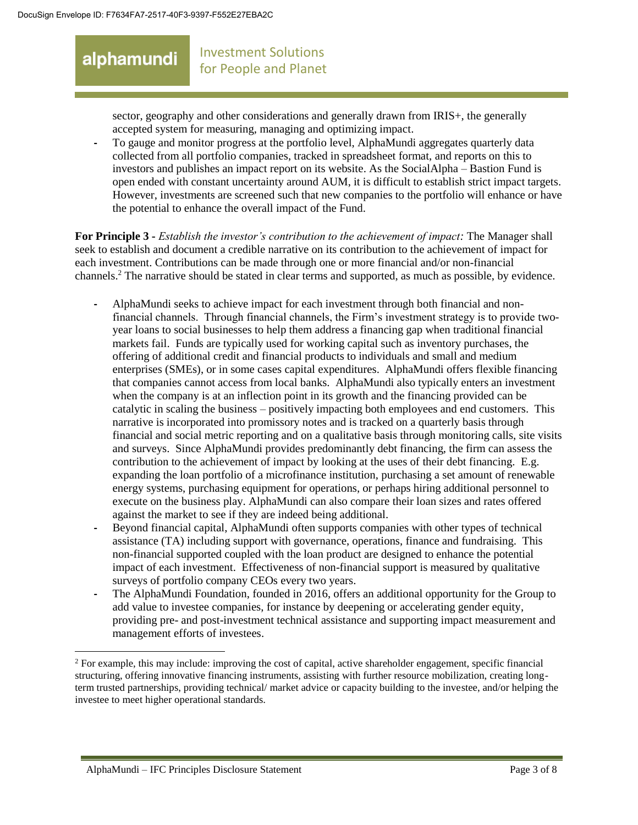#### Investment Solutions for People and Planet

sector, geography and other considerations and generally drawn from IRIS+, the generally accepted system for measuring, managing and optimizing impact.

**-** To gauge and monitor progress at the portfolio level, AlphaMundi aggregates quarterly data collected from all portfolio companies, tracked in spreadsheet format, and reports on this to investors and publishes an impact report on its website. As the SocialAlpha – Bastion Fund is open ended with constant uncertainty around AUM, it is difficult to establish strict impact targets. However, investments are screened such that new companies to the portfolio will enhance or have the potential to enhance the overall impact of the Fund.

**For Principle 3 -** *Establish the investor's contribution to the achievement of impact:* The Manager shall seek to establish and document a credible narrative on its contribution to the achievement of impact for each investment. Contributions can be made through one or more financial and/or non-financial channels.<sup>2</sup> The narrative should be stated in clear terms and supported, as much as possible, by evidence.

- **-** AlphaMundi seeks to achieve impact for each investment through both financial and nonfinancial channels. Through financial channels, the Firm's investment strategy is to provide twoyear loans to social businesses to help them address a financing gap when traditional financial markets fail. Funds are typically used for working capital such as inventory purchases, the offering of additional credit and financial products to individuals and small and medium enterprises (SMEs), or in some cases capital expenditures. AlphaMundi offers flexible financing that companies cannot access from local banks. AlphaMundi also typically enters an investment when the company is at an inflection point in its growth and the financing provided can be catalytic in scaling the business – positively impacting both employees and end customers. This narrative is incorporated into promissory notes and is tracked on a quarterly basis through financial and social metric reporting and on a qualitative basis through monitoring calls, site visits and surveys. Since AlphaMundi provides predominantly debt financing, the firm can assess the contribution to the achievement of impact by looking at the uses of their debt financing. E.g. expanding the loan portfolio of a microfinance institution, purchasing a set amount of renewable energy systems, purchasing equipment for operations, or perhaps hiring additional personnel to execute on the business play. AlphaMundi can also compare their loan sizes and rates offered against the market to see if they are indeed being additional.
- **-** Beyond financial capital, AlphaMundi often supports companies with other types of technical assistance (TA) including support with governance, operations, finance and fundraising. This non-financial supported coupled with the loan product are designed to enhance the potential impact of each investment. Effectiveness of non-financial support is measured by qualitative surveys of portfolio company CEOs every two years.
- **-** The AlphaMundi Foundation, founded in 2016, offers an additional opportunity for the Group to add value to investee companies, for instance by deepening or accelerating gender equity, providing pre- and post-investment technical assistance and supporting impact measurement and management efforts of investees.

<sup>&</sup>lt;sup>2</sup> For example, this may include: improving the cost of capital, active shareholder engagement, specific financial structuring, offering innovative financing instruments, assisting with further resource mobilization, creating longterm trusted partnerships, providing technical/ market advice or capacity building to the investee, and/or helping the investee to meet higher operational standards.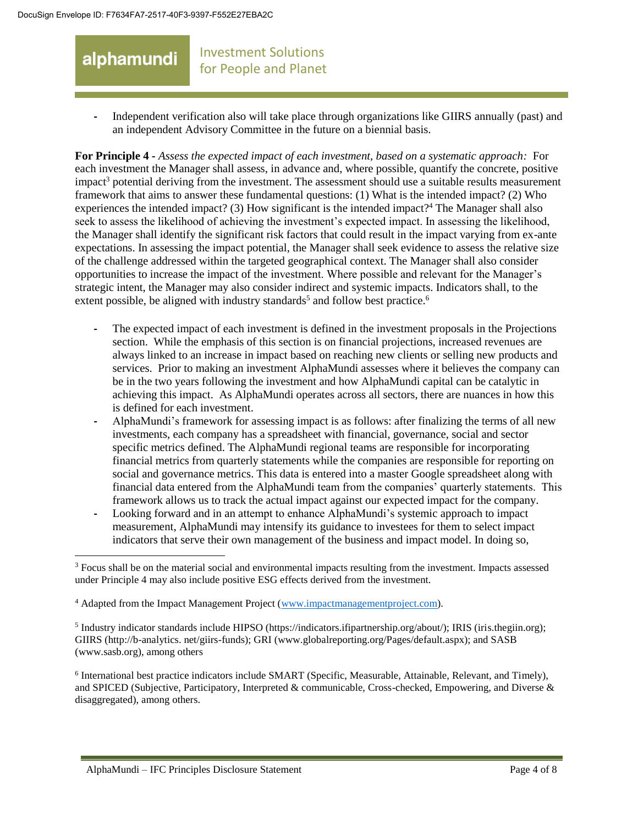#### Investment Solutions alphamundi for People and Planet

**-** Independent verification also will take place through organizations like GIIRS annually (past) and an independent Advisory Committee in the future on a biennial basis.

**For Principle 4 -** *Assess the expected impact of each investment, based on a systematic approach:* For each investment the Manager shall assess, in advance and, where possible, quantify the concrete, positive impact<sup>3</sup> potential deriving from the investment. The assessment should use a suitable results measurement framework that aims to answer these fundamental questions: (1) What is the intended impact? (2) Who experiences the intended impact? (3) How significant is the intended impact?<sup>4</sup> The Manager shall also seek to assess the likelihood of achieving the investment's expected impact. In assessing the likelihood, the Manager shall identify the significant risk factors that could result in the impact varying from ex-ante expectations. In assessing the impact potential, the Manager shall seek evidence to assess the relative size of the challenge addressed within the targeted geographical context. The Manager shall also consider opportunities to increase the impact of the investment. Where possible and relevant for the Manager's strategic intent, the Manager may also consider indirect and systemic impacts. Indicators shall, to the extent possible, be aligned with industry standards<sup>5</sup> and follow best practice.<sup>6</sup>

- **-** The expected impact of each investment is defined in the investment proposals in the Projections section. While the emphasis of this section is on financial projections, increased revenues are always linked to an increase in impact based on reaching new clients or selling new products and services. Prior to making an investment AlphaMundi assesses where it believes the company can be in the two years following the investment and how AlphaMundi capital can be catalytic in achieving this impact. As AlphaMundi operates across all sectors, there are nuances in how this is defined for each investment.
- **-** AlphaMundi's framework for assessing impact is as follows: after finalizing the terms of all new investments, each company has a spreadsheet with financial, governance, social and sector specific metrics defined. The AlphaMundi regional teams are responsible for incorporating financial metrics from quarterly statements while the companies are responsible for reporting on social and governance metrics. This data is entered into a master Google spreadsheet along with financial data entered from the AlphaMundi team from the companies' quarterly statements. This framework allows us to track the actual impact against our expected impact for the company.
- **-** Looking forward and in an attempt to enhance AlphaMundi's systemic approach to impact measurement, AlphaMundi may intensify its guidance to investees for them to select impact indicators that serve their own management of the business and impact model. In doing so,

<sup>3</sup> Focus shall be on the material social and environmental impacts resulting from the investment. Impacts assessed under Principle 4 may also include positive ESG effects derived from the investment.

<sup>4</sup> Adapted from the Impact Management Project [\(www.impactmanagementproject.com\)](http://www.impactmanagementproject.com/).

 $<sup>5</sup>$  Industry indicator standards include HIPSO (https://indicators.ifipartnership.org/about/); IRIS (iris.thegiin.org);</sup> GIIRS (http://b-analytics. net/giirs-funds); GRI (www.globalreporting.org/Pages/default.aspx); and SASB (www.sasb.org), among others

<sup>&</sup>lt;sup>6</sup> International best practice indicators include SMART (Specific, Measurable, Attainable, Relevant, and Timely), and SPICED (Subjective, Participatory, Interpreted & communicable, Cross-checked, Empowering, and Diverse & disaggregated), among others.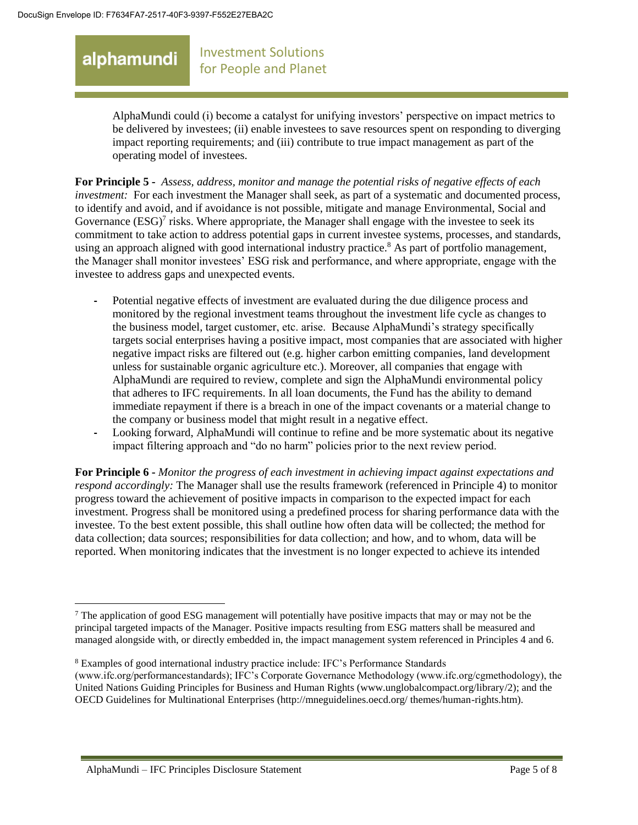### Investment Solutions for People and Planet

AlphaMundi could (i) become a catalyst for unifying investors' perspective on impact metrics to be delivered by investees; (ii) enable investees to save resources spent on responding to diverging impact reporting requirements; and (iii) contribute to true impact management as part of the operating model of investees.

**For Principle 5 -** *Assess, address, monitor and manage the potential risks of negative effects of each investment:* For each investment the Manager shall seek, as part of a systematic and documented process, to identify and avoid, and if avoidance is not possible, mitigate and manage Environmental, Social and Governance  $(ESG)^7$  risks. Where appropriate, the Manager shall engage with the investee to seek its commitment to take action to address potential gaps in current investee systems, processes, and standards, using an approach aligned with good international industry practice.<sup>8</sup> As part of portfolio management, the Manager shall monitor investees' ESG risk and performance, and where appropriate, engage with the investee to address gaps and unexpected events.

- **-** Potential negative effects of investment are evaluated during the due diligence process and monitored by the regional investment teams throughout the investment life cycle as changes to the business model, target customer, etc. arise. Because AlphaMundi's strategy specifically targets social enterprises having a positive impact, most companies that are associated with higher negative impact risks are filtered out (e.g. higher carbon emitting companies, land development unless for sustainable organic agriculture etc.). Moreover, all companies that engage with AlphaMundi are required to review, complete and sign the AlphaMundi environmental policy that adheres to IFC requirements. In all loan documents, the Fund has the ability to demand immediate repayment if there is a breach in one of the impact covenants or a material change to the company or business model that might result in a negative effect.
- **-** Looking forward, AlphaMundi will continue to refine and be more systematic about its negative impact filtering approach and "do no harm" policies prior to the next review period.

**For Principle 6 -** *Monitor the progress of each investment in achieving impact against expectations and respond accordingly:* The Manager shall use the results framework (referenced in Principle 4) to monitor progress toward the achievement of positive impacts in comparison to the expected impact for each investment. Progress shall be monitored using a predefined process for sharing performance data with the investee. To the best extent possible, this shall outline how often data will be collected; the method for data collection; data sources; responsibilities for data collection; and how, and to whom, data will be reported. When monitoring indicates that the investment is no longer expected to achieve its intended

 $\overline{a}$ <sup>7</sup> The application of good ESG management will potentially have positive impacts that may or may not be the principal targeted impacts of the Manager. Positive impacts resulting from ESG matters shall be measured and managed alongside with, or directly embedded in, the impact management system referenced in Principles 4 and 6.

<sup>8</sup> Examples of good international industry practice include: IFC's Performance Standards (www.ifc.org/performancestandards); IFC's Corporate Governance Methodology (www.ifc.org/cgmethodology), the United Nations Guiding Principles for Business and Human Rights (www.unglobalcompact.org/library/2); and the OECD Guidelines for Multinational Enterprises (http://mneguidelines.oecd.org/ themes/human-rights.htm).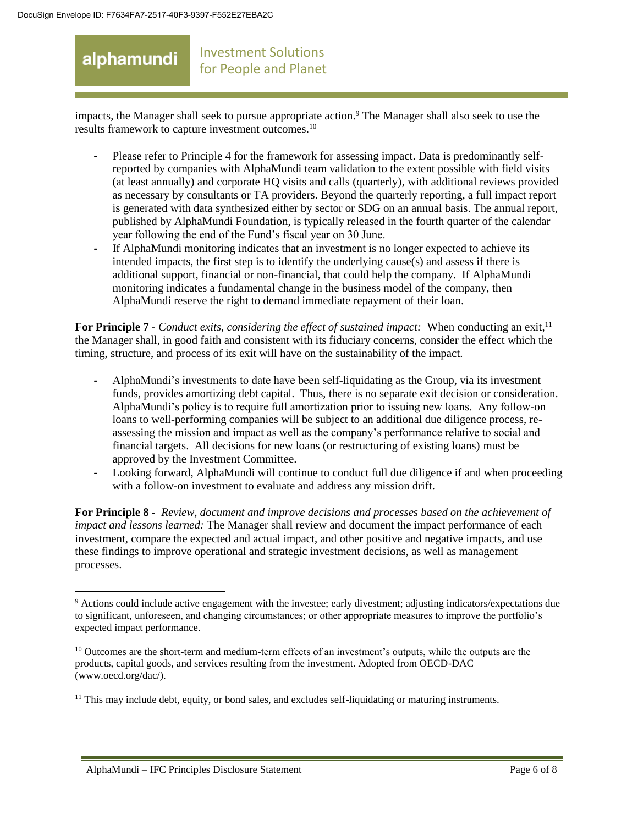#### Investment Solutions for People and Planet

impacts, the Manager shall seek to pursue appropriate action.<sup>9</sup> The Manager shall also seek to use the results framework to capture investment outcomes.<sup>10</sup>

- **-** Please refer to Principle 4 for the framework for assessing impact. Data is predominantly selfreported by companies with AlphaMundi team validation to the extent possible with field visits (at least annually) and corporate HQ visits and calls (quarterly), with additional reviews provided as necessary by consultants or TA providers. Beyond the quarterly reporting, a full impact report is generated with data synthesized either by sector or SDG on an annual basis. The annual report, published by AlphaMundi Foundation, is typically released in the fourth quarter of the calendar year following the end of the Fund's fiscal year on 30 June.
- **-** If AlphaMundi monitoring indicates that an investment is no longer expected to achieve its intended impacts, the first step is to identify the underlying cause(s) and assess if there is additional support, financial or non-financial, that could help the company. If AlphaMundi monitoring indicates a fundamental change in the business model of the company, then AlphaMundi reserve the right to demand immediate repayment of their loan.

**For Principle 7 -** *Conduct exits, considering the effect of sustained impact:* When conducting an exit,<sup>11</sup> the Manager shall, in good faith and consistent with its fiduciary concerns, consider the effect which the timing, structure, and process of its exit will have on the sustainability of the impact.

- **-** AlphaMundi's investments to date have been self-liquidating as the Group, via its investment funds, provides amortizing debt capital. Thus, there is no separate exit decision or consideration. AlphaMundi's policy is to require full amortization prior to issuing new loans. Any follow-on loans to well-performing companies will be subject to an additional due diligence process, reassessing the mission and impact as well as the company's performance relative to social and financial targets. All decisions for new loans (or restructuring of existing loans) must be approved by the Investment Committee.
- **-** Looking forward, AlphaMundi will continue to conduct full due diligence if and when proceeding with a follow-on investment to evaluate and address any mission drift.

**For Principle 8 -** *Review, document and improve decisions and processes based on the achievement of impact and lessons learned:* The Manager shall review and document the impact performance of each investment, compare the expected and actual impact, and other positive and negative impacts, and use these findings to improve operational and strategic investment decisions, as well as management processes.

<sup>9</sup> Actions could include active engagement with the investee; early divestment; adjusting indicators/expectations due to significant, unforeseen, and changing circumstances; or other appropriate measures to improve the portfolio's expected impact performance.

<sup>&</sup>lt;sup>10</sup> Outcomes are the short-term and medium-term effects of an investment's outputs, while the outputs are the products, capital goods, and services resulting from the investment. Adopted from OECD-DAC (www.oecd.org/dac/).

<sup>&</sup>lt;sup>11</sup> This may include debt, equity, or bond sales, and excludes self-liquidating or maturing instruments.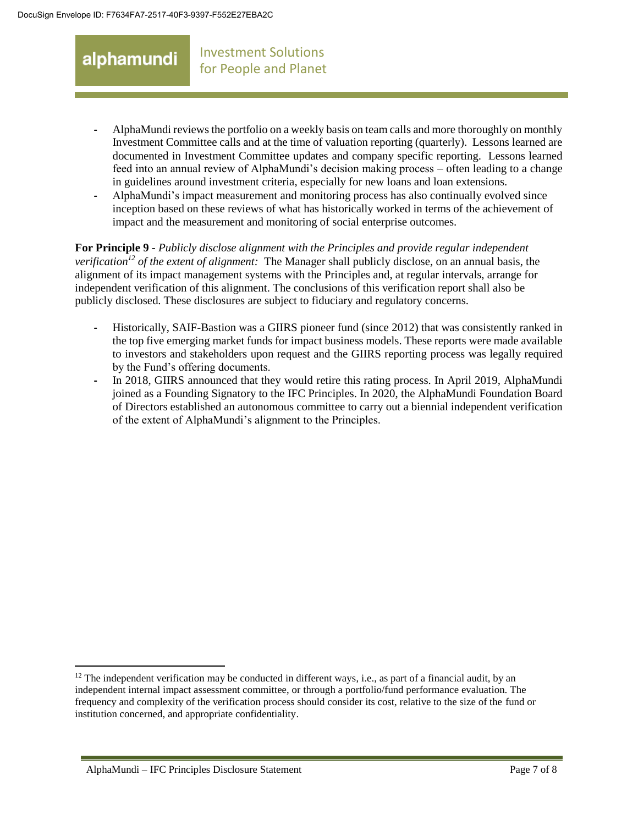- **-** AlphaMundi reviews the portfolio on a weekly basis on team calls and more thoroughly on monthly Investment Committee calls and at the time of valuation reporting (quarterly). Lessons learned are documented in Investment Committee updates and company specific reporting. Lessons learned feed into an annual review of AlphaMundi's decision making process – often leading to a change in guidelines around investment criteria, especially for new loans and loan extensions.
- **-** AlphaMundi's impact measurement and monitoring process has also continually evolved since inception based on these reviews of what has historically worked in terms of the achievement of impact and the measurement and monitoring of social enterprise outcomes.

**For Principle 9 -** *Publicly disclose alignment with the Principles and provide regular independent verification<sup>12</sup> of the extent of alignment:* The Manager shall publicly disclose, on an annual basis, the alignment of its impact management systems with the Principles and, at regular intervals, arrange for independent verification of this alignment. The conclusions of this verification report shall also be publicly disclosed. These disclosures are subject to fiduciary and regulatory concerns.

- **-** Historically, SAIF-Bastion was a GIIRS pioneer fund (since 2012) that was consistently ranked in the top five emerging market funds for impact business models. These reports were made available to investors and stakeholders upon request and the GIIRS reporting process was legally required by the Fund's offering documents.
- **-** In 2018, GIIRS announced that they would retire this rating process. In April 2019, AlphaMundi joined as a Founding Signatory to the IFC Principles. In 2020, the AlphaMundi Foundation Board of Directors established an autonomous committee to carry out a biennial independent verification of the extent of AlphaMundi's alignment to the Principles.

 $12$  The independent verification may be conducted in different ways, i.e., as part of a financial audit, by an independent internal impact assessment committee, or through a portfolio/fund performance evaluation. The frequency and complexity of the verification process should consider its cost, relative to the size of the fund or institution concerned, and appropriate confidentiality.